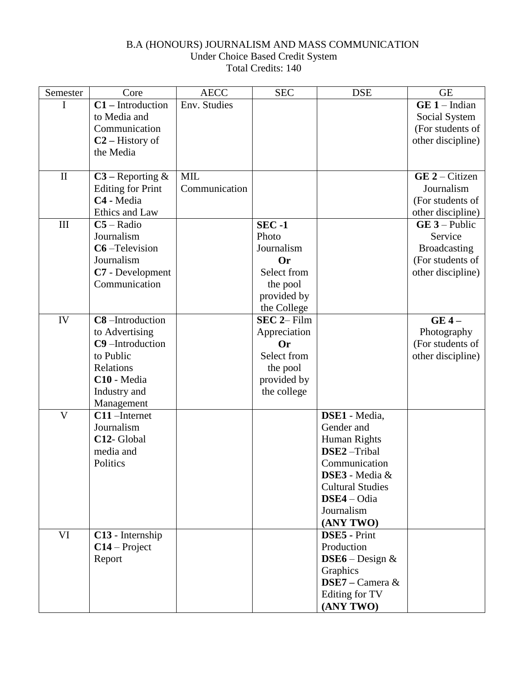# B.A (HONOURS) JOURNALISM AND MASS COMMUNICATION Under Choice Based Credit System Total Credits: 140

| Semester                | Core                     | <b>AECC</b>   | <b>SEC</b>     | <b>DSE</b>                         | <b>GE</b>           |
|-------------------------|--------------------------|---------------|----------------|------------------------------------|---------------------|
| I                       | $C1$ – Introduction      | Env. Studies  |                |                                    | $GE 1 - Indian$     |
|                         | to Media and             |               |                |                                    | Social System       |
|                         | Communication            |               |                |                                    | (For students of    |
|                         | $C2 - History$ of        |               |                |                                    | other discipline)   |
|                         | the Media                |               |                |                                    |                     |
|                         |                          |               |                |                                    |                     |
| $\mathbf{I}$            | $C3$ – Reporting &       | <b>MIL</b>    |                |                                    | $GE 2 - Citizen$    |
|                         | <b>Editing for Print</b> | Communication |                |                                    | Journalism          |
|                         | C4 - Media               |               |                |                                    | (For students of    |
|                         | Ethics and Law           |               |                |                                    | other discipline)   |
| III                     | $C5 - Radio$             |               | $SEC -1$       |                                    | $GE$ 3 – Public     |
|                         | Journalism               |               | Photo          |                                    | Service             |
|                         | C6-Television            |               | Journalism     |                                    | <b>Broadcasting</b> |
|                         | Journalism               |               | <b>Or</b>      |                                    | (For students of    |
|                         | C7 - Development         |               | Select from    |                                    | other discipline)   |
|                         | Communication            |               | the pool       |                                    |                     |
|                         |                          |               | provided by    |                                    |                     |
|                         |                          |               | the College    |                                    |                     |
| IV                      | C8-Introduction          |               | $SEC 2 - Film$ |                                    | $GE 4-$             |
|                         | to Advertising           |               | Appreciation   |                                    | Photography         |
|                         | C9-Introduction          |               | <b>Or</b>      |                                    | (For students of    |
|                         | to Public                |               | Select from    |                                    | other discipline)   |
|                         | Relations                |               | the pool       |                                    |                     |
|                         | C10 - Media              |               | provided by    |                                    |                     |
|                         | Industry and             |               | the college    |                                    |                     |
|                         | Management               |               |                |                                    |                     |
| $\overline{\mathsf{V}}$ | C11-Internet             |               |                | DSE1 - Media,                      |                     |
|                         | Journalism               |               |                | Gender and                         |                     |
|                         | C12-Global               |               |                | Human Rights                       |                     |
|                         | media and                |               |                | DSE2-Tribal                        |                     |
|                         | Politics                 |               |                | Communication                      |                     |
|                         |                          |               |                | $\overline{\text{DSE3}}$ - Media & |                     |
|                         |                          |               |                | <b>Cultural Studies</b>            |                     |
|                         |                          |               |                | DSE4 - Odia                        |                     |
|                         |                          |               |                | Journalism                         |                     |
|                         |                          |               |                | (ANY TWO)                          |                     |
| VI                      | C13 - Internship         |               |                | <b>DSE5</b> - Print                |                     |
|                         | $C14 - Project$          |               |                | Production                         |                     |
|                         | Report                   |               |                | DSE6 – Design $&$                  |                     |
|                         |                          |               |                | Graphics                           |                     |
|                         |                          |               |                | $DSE7 - Camera &$                  |                     |
|                         |                          |               |                | Editing for TV                     |                     |
|                         |                          |               |                | (ANY TWO)                          |                     |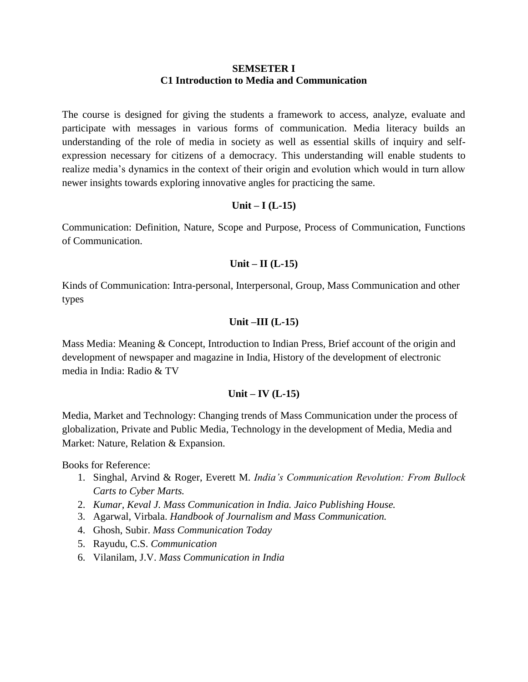### **SEMSETER I C1 Introduction to Media and Communication**

The course is designed for giving the students a framework to access, analyze, evaluate and participate with messages in various forms of communication. Media literacy builds an understanding of the role of media in society as well as essential skills of inquiry and selfexpression necessary for citizens of a democracy. This understanding will enable students to realize media's dynamics in the context of their origin and evolution which would in turn allow newer insights towards exploring innovative angles for practicing the same.

#### **Unit – I (L-15)**

Communication: Definition, Nature, Scope and Purpose, Process of Communication, Functions of Communication.

#### **Unit – II (L-15)**

Kinds of Communication: Intra-personal, Interpersonal, Group, Mass Communication and other types

### **Unit –III (L-15)**

Mass Media: Meaning & Concept, Introduction to Indian Press, Brief account of the origin and development of newspaper and magazine in India, History of the development of electronic media in India: Radio & TV

### **Unit – IV (L-15)**

Media, Market and Technology: Changing trends of Mass Communication under the process of globalization, Private and Public Media, Technology in the development of Media, Media and Market: Nature, Relation & Expansion.

Books for Reference:

- 1. Singhal, Arvind & Roger, Everett M. *India's Communication Revolution: From Bullock Carts to Cyber Marts.*
- 2. *Kumar, Keval J. Mass Communication in India. Jaico Publishing House.*
- 3. Agarwal, Virbala. *Handbook of Journalism and Mass Communication.*
- 4. Ghosh, Subir. *Mass Communication Today*
- 5. Rayudu, C.S. *Communication*
- 6. Vilanilam, J.V. *Mass Communication in India*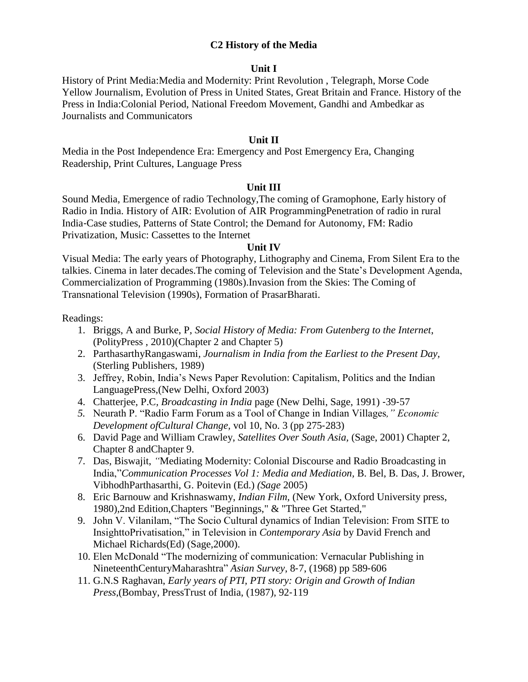# **C2 History of the Media**

#### **Unit I**

History of Print Media:Media and Modernity: Print Revolution , Telegraph, Morse Code Yellow Journalism, Evolution of Press in United States, Great Britain and France. History of the Press in India:Colonial Period, National Freedom Movement, Gandhi and Ambedkar as Journalists and Communicators

#### **Unit II**

Media in the Post Independence Era: Emergency and Post Emergency Era, Changing Readership, Print Cultures, Language Press

#### **Unit III**

Sound Media, Emergence of radio Technology,The coming of Gramophone, Early history of Radio in India. History of AIR: Evolution of AIR ProgrammingPenetration of radio in rural India‐Case studies, Patterns of State Control; the Demand for Autonomy, FM: Radio Privatization, Music: Cassettes to the Internet

#### **Unit IV**

Visual Media: The early years of Photography, Lithography and Cinema, From Silent Era to the talkies. Cinema in later decades.The coming of Television and the State's Development Agenda, Commercialization of Programming (1980s).Invasion from the Skies: The Coming of Transnational Television (1990s), Formation of PrasarBharati.

Readings:

- 1. Briggs, A and Burke, P, *Social History of Media: From Gutenberg to the Internet*, (PolityPress , 2010)(Chapter 2 and Chapter 5)
- 2. ParthasarthyRangaswami*, Journalism in India from the Earliest to the Present Day,*  (Sterling Publishers, 1989)
- 3. Jeffrey, Robin, India's News Paper Revolution: Capitalism, Politics and the Indian LanguagePress,(New Delhi, Oxford 2003)
- 4. Chatterjee, P.C*, Broadcasting in India* page (New Delhi, Sage, 1991) ‐39‐57
- *5.* Neurath P. "Radio Farm Forum as a Tool of Change in Indian Villages*," Economic Development ofCultural Change,* vol 10, No. 3 (pp 275‐283)
- 6. David Page and William Crawley, *Satellites Over South Asia,* (Sage, 2001) Chapter 2, Chapter 8 andChapter 9.
- 7. Das, Biswajit, *"*Mediating Modernity: Colonial Discourse and Radio Broadcasting in India,"*Communication Processes Vol 1: Media and Mediation,* B. Bel, B. Das, J. Brower, VibhodhParthasarthi, G. Poitevin (Ed.) *(Sage* 2005)
- 8. Eric Barnouw and Krishnaswamy, *Indian Film,* (New York, Oxford University press, 1980),2nd Edition,Chapters "Beginnings," & "Three Get Started,"
- 9. John V. Vilanilam, "The Socio Cultural dynamics of Indian Television: From SITE to InsighttoPrivatisation," in Television in *Contemporary Asia* by David French and Michael Richards(Ed) (Sage,2000).
- 10. Elen McDonald "The modernizing of communication: Vernacular Publishing in NineteenthCenturyMaharashtra" *Asian Survey*, 8‐7, (1968) pp 589‐606
- 11. G.N.S Raghavan, *Early years of PTI, PTI story: Origin and Growth of Indian Press*,(Bombay, PressTrust of India, (1987), 92‐119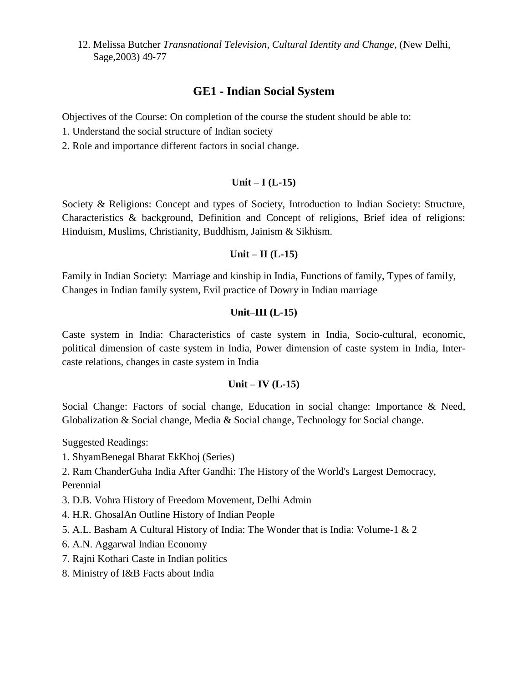12. Melissa Butcher *Transnational Television, Cultural Identity and Change*, (New Delhi, Sage,2003) 49‐77

# **GE1 - Indian Social System**

Objectives of the Course: On completion of the course the student should be able to:

- 1. Understand the social structure of Indian society
- 2. Role and importance different factors in social change.

#### **Unit – I (L-15)**

Society & Religions: Concept and types of Society, Introduction to Indian Society: Structure, Characteristics & background, Definition and Concept of religions, Brief idea of religions: Hinduism, Muslims, Christianity, Buddhism, Jainism & Sikhism.

#### **Unit – II (L-15)**

Family in Indian Society: Marriage and kinship in India, Functions of family, Types of family, Changes in Indian family system, Evil practice of Dowry in Indian marriage

#### **Unit–III (L-15)**

Caste system in India: Characteristics of caste system in India, Socio-cultural, economic, political dimension of caste system in India, Power dimension of caste system in India, Intercaste relations, changes in caste system in India

### **Unit – IV (L-15)**

Social Change: Factors of social change, Education in social change: Importance & Need, Globalization & Social change, Media & Social change, Technology for Social change.

Suggested Readings:

- 1. ShyamBenegal Bharat EkKhoj (Series)
- 2. Ram ChanderGuha India After Gandhi: The History of the World's Largest Democracy, Perennial
- 3. D.B. Vohra History of Freedom Movement, Delhi Admin
- 4. H.R. GhosalAn Outline History of Indian People
- 5. A.L. Basham A Cultural History of India: The Wonder that is India: Volume-1 & 2
- 6. A.N. Aggarwal Indian Economy
- 7. Rajni Kothari Caste in Indian politics
- 8. Ministry of I&B Facts about India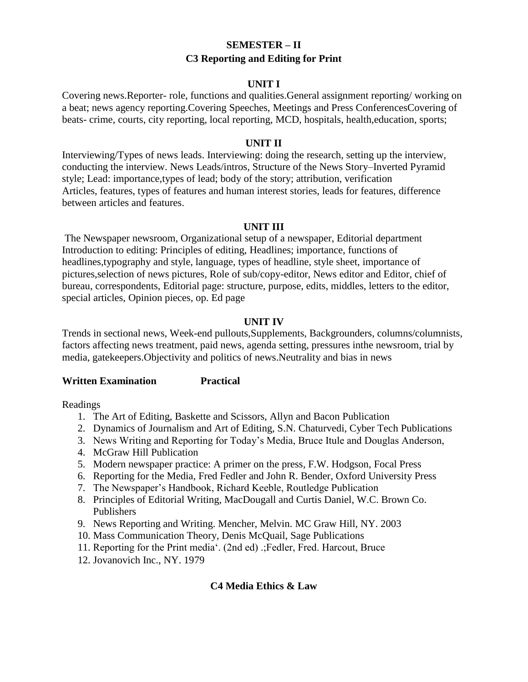# **SEMESTER – II C3 Reporting and Editing for Print**

### **UNIT I**

Covering news.Reporter- role, functions and qualities.General assignment reporting/ working on a beat; news agency reporting.Covering Speeches, Meetings and Press ConferencesCovering of beats- crime, courts, city reporting, local reporting, MCD, hospitals, health,education, sports;

### **UNIT II**

Interviewing/Types of news leads. Interviewing: doing the research, setting up the interview, conducting the interview. News Leads/intros, Structure of the News Story–Inverted Pyramid style; Lead: importance,types of lead; body of the story; attribution, verification Articles, features, types of features and human interest stories, leads for features, difference between articles and features.

#### **UNIT III**

The Newspaper newsroom, Organizational setup of a newspaper, Editorial department Introduction to editing: Principles of editing, Headlines; importance, functions of headlines,typography and style, language, types of headline, style sheet, importance of pictures,selection of news pictures, Role of sub/copy-editor, News editor and Editor, chief of bureau, correspondents, Editorial page: structure, purpose, edits, middles, letters to the editor, special articles, Opinion pieces, op. Ed page

### **UNIT IV**

Trends in sectional news, Week-end pullouts,Supplements, Backgrounders, columns/columnists, factors affecting news treatment, paid news, agenda setting, pressures inthe newsroom, trial by media, gatekeepers.Objectivity and politics of news.Neutrality and bias in news

### **Written Examination Practical**

Readings

- 1. The Art of Editing, Baskette and Scissors, Allyn and Bacon Publication
- 2. Dynamics of Journalism and Art of Editing, S.N. Chaturvedi, Cyber Tech Publications
- 3. News Writing and Reporting for Today's Media, Bruce Itule and Douglas Anderson,
- 4. McGraw Hill Publication
- 5. Modern newspaper practice: A primer on the press, F.W. Hodgson, Focal Press
- 6. Reporting for the Media, Fred Fedler and John R. Bender, Oxford University Press
- 7. The Newspaper's Handbook, Richard Keeble, Routledge Publication
- 8. Principles of Editorial Writing, MacDougall and Curtis Daniel, W.C. Brown Co. Publishers
- 9. News Reporting and Writing. Mencher, Melvin. MC Graw Hill, NY. 2003
- 10. Mass Communication Theory, Denis McQuail, Sage Publications
- 11. Reporting for the Print media'. (2nd ed) .;Fedler, Fred. Harcout, Bruce
- 12. Jovanovich Inc., NY. 1979

# **C4 Media Ethics & Law**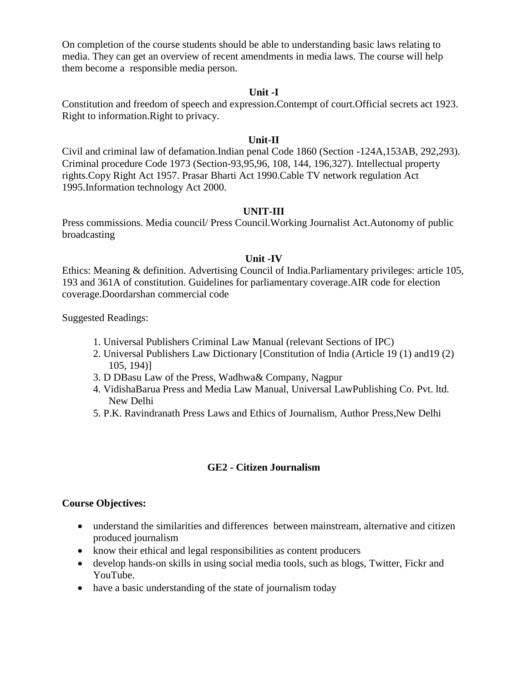On completion of the course students should be able to understanding basic laws relating to media. They can get an overview of recent amendments in media laws. The course will help them become a responsible media person.

#### **Unit -I**

Constitution and freedom of speech and expression.Contempt of court.Official secrets act 1923. Right to information.Right to privacy.

#### **Unit-II**

Civil and criminal law of defamation.Indian penal Code 1860 (Section -124A,153AB, 292,293). Criminal procedure Code 1973 (Section-93,95,96, 108, 144, 196,327). Intellectual property rights.Copy Right Act 1957. Prasar Bharti Act 1990.Cable TV network regulation Act 1995.Information technology Act 2000.

#### **UNIT-III**

Press commissions. Media council/ Press Council.Working Journalist Act.Autonomy of public broadcasting

#### **Unit -IV**

Ethics: Meaning & definition. Advertising Council of India.Parliamentary privileges: article 105, 193 and 361A of constitution. Guidelines for parliamentary coverage.AIR code for election coverage.Doordarshan commercial code

Suggested Readings:

- 1. Universal Publishers Criminal Law Manual (relevant Sections of IPC)
- 2. Universal Publishers Law Dictionary [Constitution of India (Article 19 (1) and19 (2) 105, 194)]
- 3. D DBasu Law of the Press, Wadhwa& Company, Nagpur
- 4. VidishaBarua Press and Media Law Manual, Universal LawPublishing Co. Pvt. ltd. New Delhi
- 5. P.K. Ravindranath Press Laws and Ethics of Journalism, Author Press,New Delhi

### **GE2 - Citizen Journalism**

#### **Course Objectives:**

- understand the similarities and differences between mainstream, alternative and citizen produced journalism
- know their ethical and legal responsibilities as content producers
- develop hands-on skills in using social media tools, such as blogs, Twitter, Fickr and YouTube.
- have a basic understanding of the state of journalism today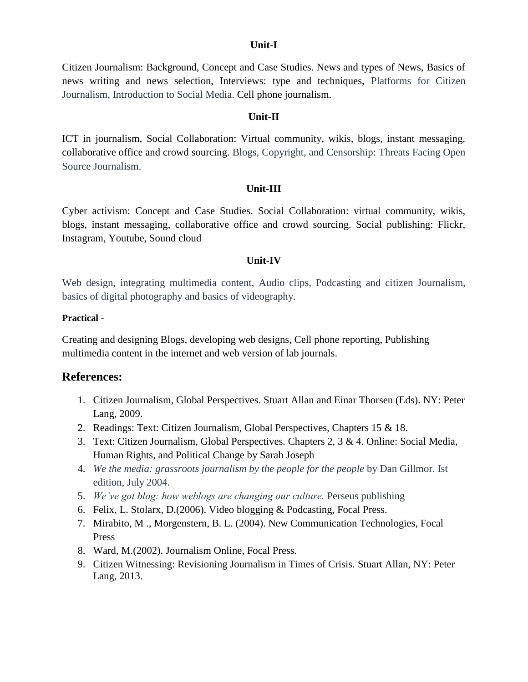#### **Unit-I**

Citizen Journalism: Background, Concept and Case Studies. News and types of News, Basics of news writing and news selection, Interviews: type and techniques, Platforms for Citizen Journalism, Introduction to Social Media. Cell phone journalism.

#### **Unit-II**

ICT in journalism, Social Collaboration: Virtual community, wikis, blogs, instant messaging, collaborative office and crowd sourcing. Blogs, Copyright, and Censorship: Threats Facing Open Source Journalism.

#### **Unit-III**

Cyber activism: Concept and Case Studies. Social Collaboration: virtual community, wikis, blogs, instant messaging, collaborative office and crowd sourcing. Social publishing: Flickr, Instagram, Youtube, Sound cloud

### **Unit-IV**

Web design, integrating multimedia content, Audio clips, Podcasting and citizen Journalism, basics of digital photography and basics of videography.

### **Practical** -

Creating and designing Blogs, developing web designs, Cell phone reporting, Publishing multimedia content in the internet and web version of lab journals.

# **References:**

- 1. Citizen Journalism, Global Perspectives. Stuart Allan and Einar Thorsen (Eds). NY: Peter Lang, 2009.
- 2. Readings: Text: Citizen Journalism, Global Perspectives, Chapters 15 & 18.
- 3. Text: Citizen Journalism, Global Perspectives. Chapters 2, 3 & 4. Online: Social Media, Human Rights, and Political Change by Sarah Joseph
- 4. *We the media: grassroots journalism by the people for the people* by Dan Gillmor. Ist edition, July 2004.
- 5. *We've got blog: how weblogs are changing our culture.* Perseus publishing
- 6. Felix, L. Stolarx, D.(2006). Video blogging & Podcasting, Focal Press.
- 7. Mirabito, M ., Morgenstern, B. L. (2004). New Communication Technologies, Focal Press
- 8. Ward, M.(2002). Journalism Online, Focal Press.
- 9. Citizen Witnessing: Revisioning Journalism in Times of Crisis. Stuart Allan, NY: Peter Lang, 2013.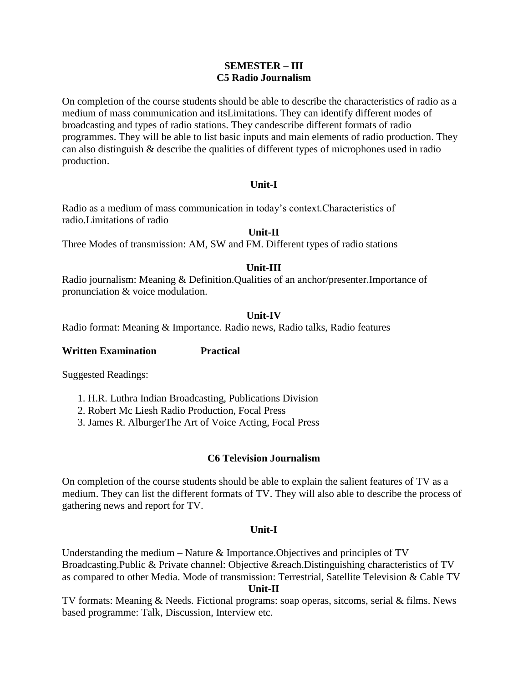### **SEMESTER – III C5 Radio Journalism**

On completion of the course students should be able to describe the characteristics of radio as a medium of mass communication and itsLimitations. They can identify different modes of broadcasting and types of radio stations. They candescribe different formats of radio programmes. They will be able to list basic inputs and main elements of radio production. They can also distinguish & describe the qualities of different types of microphones used in radio production.

### **Unit-I**

Radio as a medium of mass communication in today's context.Characteristics of radio.Limitations of radio

### **Unit-II**

Three Modes of transmission: AM, SW and FM. Different types of radio stations

# **Unit-III**

Radio journalism: Meaning & Definition.Qualities of an anchor/presenter.Importance of pronunciation & voice modulation.

### **Unit-IV**

Radio format: Meaning & Importance. Radio news, Radio talks, Radio features

### **Written Examination Practical**

Suggested Readings:

- 1. H.R. Luthra Indian Broadcasting, Publications Division
- 2. Robert Mc Liesh Radio Production, Focal Press
- 3. James R. AlburgerThe Art of Voice Acting, Focal Press

### **C6 Television Journalism**

On completion of the course students should be able to explain the salient features of TV as a medium. They can list the different formats of TV. They will also able to describe the process of gathering news and report for TV.

### **Unit-I**

Understanding the medium – Nature & Importance.Objectives and principles of TV Broadcasting.Public & Private channel: Objective &reach.Distinguishing characteristics of TV as compared to other Media. Mode of transmission: Terrestrial, Satellite Television & Cable TV

### **Unit-II**

TV formats: Meaning & Needs. Fictional programs: soap operas, sitcoms, serial & films. News based programme: Talk, Discussion, Interview etc.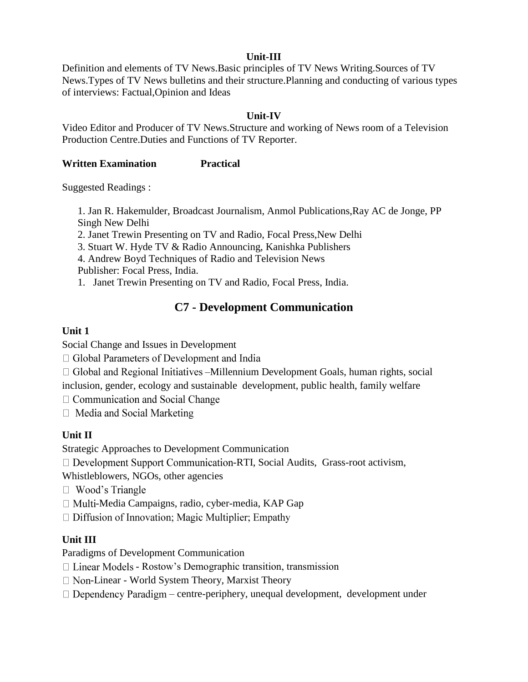# **Unit-III**

Definition and elements of TV News.Basic principles of TV News Writing.Sources of TV News.Types of TV News bulletins and their structure.Planning and conducting of various types of interviews: Factual,Opinion and Ideas

# **Unit-IV**

Video Editor and Producer of TV News.Structure and working of News room of a Television Production Centre.Duties and Functions of TV Reporter.

## **Written Examination Practical**

Suggested Readings :

1. Jan R. Hakemulder, Broadcast Journalism, Anmol Publications,Ray AC de Jonge, PP Singh New Delhi

2. Janet Trewin Presenting on TV and Radio, Focal Press,New Delhi

3. Stuart W. Hyde TV & Radio Announcing, Kanishka Publishers

4. Andrew Boyd Techniques of Radio and Television News Publisher: Focal Press, India.

1. Janet Trewin Presenting on TV and Radio, Focal Press, India.

# **C7 - Development Communication**

### **Unit 1**

Social Change and Issues in Development

 $\Box$  Global Parameters of Development and India

 $\Box$  Global and Regional Initiatives – Millennium Development Goals, human rights, social inclusion, gender, ecology and sustainable development, public health, family welfare

 $\Box$  Communication and Social Change

 $\Box$  Media and Social Marketing

# **Unit II**

Strategic Approaches to Development Communication

 $\Box$  Development Support Communication-RTI, Social Audits, Grass-root activism,

Whistleblowers, NGOs, other agencies

 $\Box$  Wood's Triangle

 $\Box$  Multi-Media Campaigns, radio, cyber-media, KAP Gap

 $\Box$  Diffusion of Innovation; Magic Multiplier; Empathy

# **Unit III**

Paradigms of Development Communication

 $\Box$  Linear Models - Rostow's Demographic transition, transmission

 $\Box$  Non-Linear - World System Theory, Marxist Theory

 $\Box$  Dependency Paradigm – centre-periphery, unequal development, development under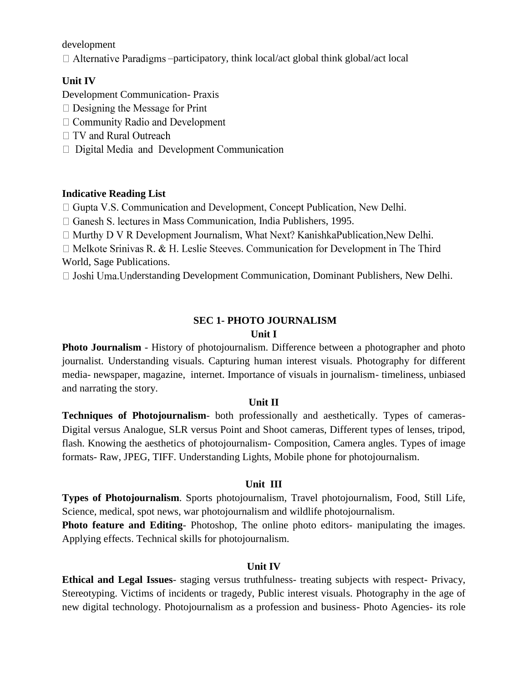development  $\Box$  Alternative Paradigms –participatory, think local/act global think global/act local

### **Unit IV**

- Development Communication- Praxis
- $\Box$  Designing the Message for Print
- $\Box$  Community Radio and Development
- $\Box$  TV and Rural Outreach
- □ Digital Media and Development Communication

### **Indicative Reading List**

 $\Box$  Gupta V.S. Communication and Development, Concept Publication, New Delhi.

 $\Box$  Ganesh S. lectures in Mass Communication, India Publishers, 1995.

 $\Box$  Murthy D V R Development Journalism, What Next? KanishkaPublication, New Delhi.

 $\Box$  Melkote Srinivas R. & H. Leslie Steeves. Communication for Development in The Third World, Sage Publications.

 $\Box$  Joshi Uma. Understanding Development Communication, Dominant Publishers, New Delhi.

## **SEC 1- PHOTO JOURNALISM Unit I**

**Photo Journalism** - History of photojournalism. Difference between a photographer and photo journalist. Understanding visuals. Capturing human interest visuals. Photography for different media- newspaper, magazine, internet. Importance of visuals in journalism- timeliness, unbiased and narrating the story.

### **Unit II**

**Techniques of Photojournalism**- both professionally and aesthetically. Types of cameras-Digital versus Analogue, SLR versus Point and Shoot cameras, Different types of lenses, tripod, flash. Knowing the aesthetics of photojournalism- Composition, Camera angles. Types of image formats- Raw, JPEG, TIFF. Understanding Lights, Mobile phone for photojournalism.

### **Unit III**

**Types of Photojournalism**. Sports photojournalism, Travel photojournalism, Food, Still Life, Science, medical, spot news, war photojournalism and wildlife photojournalism.

**Photo feature and Editing**- Photoshop, The online photo editors- manipulating the images. Applying effects. Technical skills for photojournalism.

### **Unit IV**

**Ethical and Legal Issues**- staging versus truthfulness- treating subjects with respect- Privacy, Stereotyping. Victims of incidents or tragedy, Public interest visuals. Photography in the age of new digital technology. Photojournalism as a profession and business- Photo Agencies- its role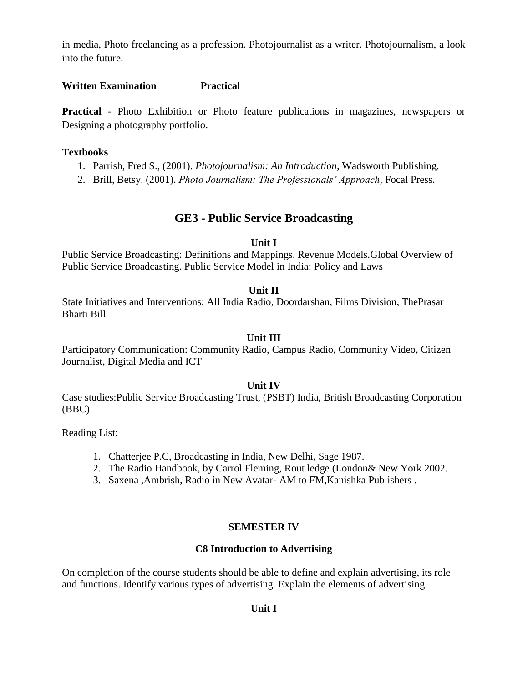in media, Photo freelancing as a profession. Photojournalist as a writer. Photojournalism, a look into the future.

### **Written Examination Practical**

**Practical** - Photo Exhibition or Photo feature publications in magazines, newspapers or Designing a photography portfolio.

### **Textbooks**

- 1. Parrish, Fred S., (2001). *Photojournalism: An Introduction,* Wadsworth Publishing.
- 2. Brill, Betsy. (2001). *Photo Journalism: The Professionals' Approach*, Focal Press.

# **GE3 - Public Service Broadcasting**

### **Unit I**

Public Service Broadcasting: Definitions and Mappings. Revenue Models.Global Overview of Public Service Broadcasting. Public Service Model in India: Policy and Laws

### **Unit II**

State Initiatives and Interventions: All India Radio, Doordarshan, Films Division, ThePrasar Bharti Bill

### **Unit III**

Participatory Communication: Community Radio, Campus Radio, Community Video, Citizen Journalist, Digital Media and ICT

### **Unit IV**

Case studies:Public Service Broadcasting Trust, (PSBT) India, British Broadcasting Corporation (BBC)

Reading List:

- 1. Chatterjee P.C, Broadcasting in India, New Delhi, Sage 1987.
- 2. The Radio Handbook, by Carrol Fleming, Rout ledge (London& New York 2002.
- 3. Saxena ,Ambrish, Radio in New Avatar- AM to FM,Kanishka Publishers .

# **SEMESTER IV**

# **C8 Introduction to Advertising**

On completion of the course students should be able to define and explain advertising, its role and functions. Identify various types of advertising. Explain the elements of advertising.

**Unit I**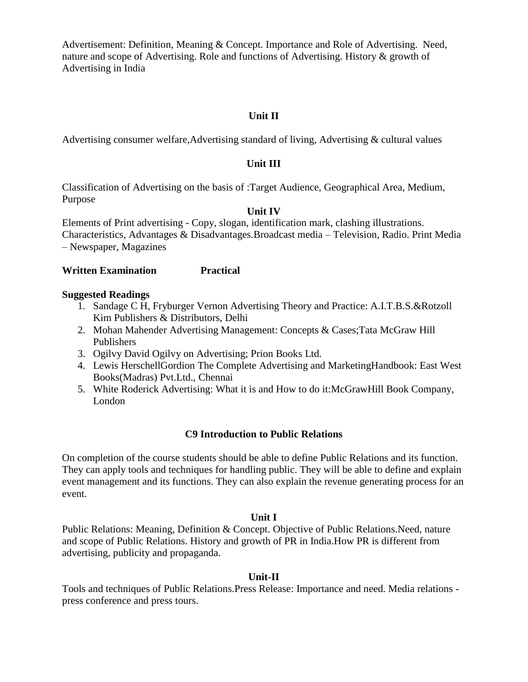Advertisement: Definition, Meaning & Concept. Importance and Role of Advertising. Need, nature and scope of Advertising. Role and functions of Advertising. History & growth of Advertising in India

# **Unit II**

Advertising consumer welfare,Advertising standard of living, Advertising & cultural values

## **Unit III**

Classification of Advertising on the basis of :Target Audience, Geographical Area, Medium, Purpose

### **Unit IV**

Elements of Print advertising - Copy, slogan, identification mark, clashing illustrations. Characteristics, Advantages & Disadvantages.Broadcast media – Television, Radio. Print Media – Newspaper, Magazines

### **Written Examination Practical**

### **Suggested Readings**

- 1. Sandage C H, Fryburger Vernon Advertising Theory and Practice: A.I.T.B.S.&Rotzoll Kim Publishers & Distributors, Delhi
- 2. Mohan Mahender Advertising Management: Concepts & Cases;Tata McGraw Hill Publishers
- 3. Ogilvy David Ogilvy on Advertising; Prion Books Ltd.
- 4. Lewis HerschellGordion The Complete Advertising and MarketingHandbook: East West Books(Madras) Pvt.Ltd., Chennai
- 5. White Roderick Advertising: What it is and How to do it:McGrawHill Book Company, London

### **C9 Introduction to Public Relations**

On completion of the course students should be able to define Public Relations and its function. They can apply tools and techniques for handling public. They will be able to define and explain event management and its functions. They can also explain the revenue generating process for an event.

### **Unit I**

Public Relations: Meaning, Definition & Concept. Objective of Public Relations.Need, nature and scope of Public Relations. History and growth of PR in India.How PR is different from advertising, publicity and propaganda.

### **Unit-II**

Tools and techniques of Public Relations.Press Release: Importance and need. Media relations press conference and press tours.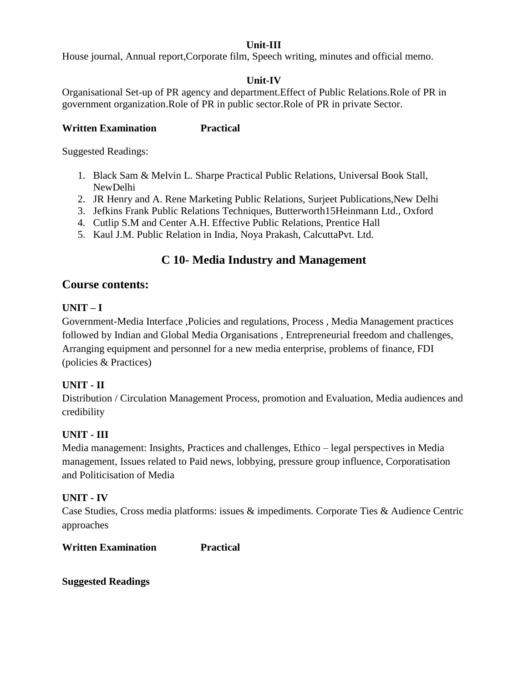# **Unit-III**

House journal, Annual report,Corporate film, Speech writing, minutes and official memo.

# **Unit-IV**

Organisational Set-up of PR agency and department.Effect of Public Relations.Role of PR in government organization.Role of PR in public sector.Role of PR in private Sector.

# **Written Examination Practical**

Suggested Readings:

- 1. Black Sam & Melvin L. Sharpe Practical Public Relations, Universal Book Stall, NewDelhi
- 2. JR Henry and A. Rene Marketing Public Relations, Surjeet Publications,New Delhi
- 3. Jefkins Frank Public Relations Techniques, Butterworth15Heinmann Ltd., Oxford
- 4. Cutlip S.M and Center A.H. Effective Public Relations, Prentice Hall
- 5. Kaul J.M. Public Relation in India, Noya Prakash, CalcuttaPvt. Ltd.

# **C 10- Media Industry and Management**

# **Course contents:**

# **UNIT – I**

Government-Media Interface ,Policies and regulations, Process , Media Management practices followed by Indian and Global Media Organisations , Entrepreneurial freedom and challenges, Arranging equipment and personnel for a new media enterprise, problems of finance, FDI (policies & Practices)

# **UNIT - II**

Distribution / Circulation Management Process, promotion and Evaluation, Media audiences and credibility

# **UNIT - III**

Media management: Insights, Practices and challenges, Ethico – legal perspectives in Media management, Issues related to Paid news, lobbying, pressure group influence, Corporatisation and Politicisation of Media

# **UNIT - IV**

Case Studies, Cross media platforms: issues & impediments. Corporate Ties & Audience Centric approaches

**Written Examination Practical** 

**Suggested Readings**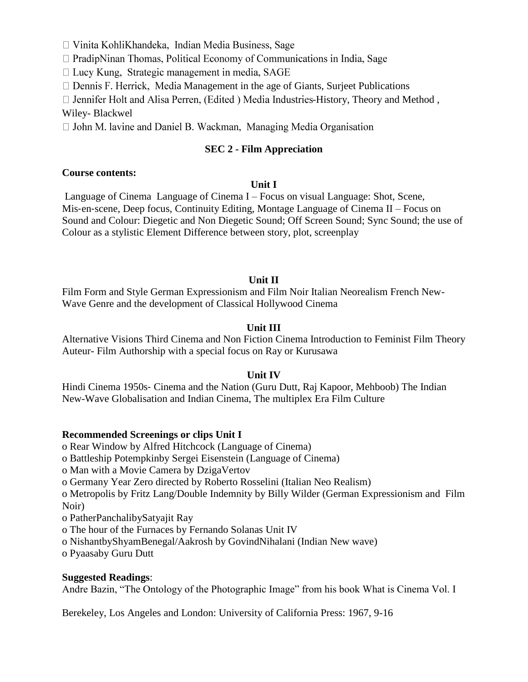□ Vinita KohliKhandeka, Indian Media Business, Sage

 $\Box$  PradipNinan Thomas, Political Economy of Communications in India, Sage

 $\Box$  Lucy Kung, Strategic management in media, SAGE

 $\Box$  Dennis F. Herrick, Media Management in the age of Giants, Surjeet Publications

 $\Box$  Jennifer Holt and Alisa Perren, (Edited ) Media Industries-History, Theory and Method,

Wiley- Blackwel

 $\Box$  John M. lavine and Daniel B. Wackman, Managing Media Organisation

## **SEC 2 - Film Appreciation**

### **Course contents:**

#### **Unit I**

Language of Cinema Language of Cinema I – Focus on visual Language: Shot, Scene, Mis-en-scene, Deep focus, Continuity Editing, Montage Language of Cinema II – Focus on Sound and Colour: Diegetic and Non Diegetic Sound; Off Screen Sound; Sync Sound; the use of Colour as a stylistic Element Difference between story, plot, screenplay

### **Unit II**

Film Form and Style German Expressionism and Film Noir Italian Neorealism French New-Wave Genre and the development of Classical Hollywood Cinema

### **Unit III**

Alternative Visions Third Cinema and Non Fiction Cinema Introduction to Feminist Film Theory Auteur- Film Authorship with a special focus on Ray or Kurusawa

# **Unit IV**

Hindi Cinema 1950s‐ Cinema and the Nation (Guru Dutt, Raj Kapoor, Mehboob) The Indian New-Wave Globalisation and Indian Cinema, The multiplex Era Film Culture

### **Recommended Screenings or clips Unit I**

o Rear Window by Alfred Hitchcock (Language of Cinema)

o Battleship Potempkinby Sergei Eisenstein (Language of Cinema)

o Man with a Movie Camera by DzigaVertov

o Germany Year Zero directed by Roberto Rosselini (Italian Neo Realism)

o Metropolis by Fritz Lang/Double Indemnity by Billy Wilder (German Expressionism and Film Noir)

o PatherPanchalibySatyajit Ray

- o The hour of the Furnaces by Fernando Solanas Unit IV
- o NishantbyShyamBenegal/Aakrosh by GovindNihalani (Indian New wave)
- o Pyaasaby Guru Dutt

# **Suggested Readings**:

Andre Bazin, "The Ontology of the Photographic Image" from his book What is Cinema Vol. I

Berekeley, Los Angeles and London: University of California Press: 1967, 9-16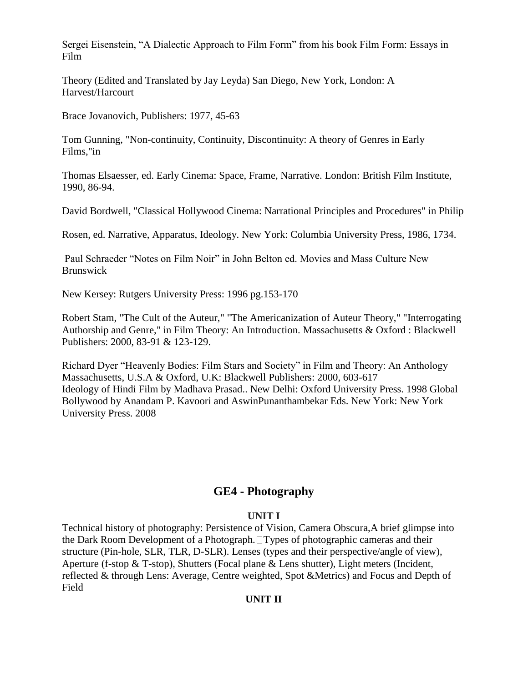Sergei Eisenstein, "A Dialectic Approach to Film Form" from his book Film Form: Essays in Film

Theory (Edited and Translated by Jay Leyda) San Diego, New York, London: A Harvest/Harcourt

Brace Jovanovich, Publishers: 1977, 45-63

Tom Gunning, "Non-continuity, Continuity, Discontinuity: A theory of Genres in Early Films,"in

Thomas Elsaesser, ed. Early Cinema: Space, Frame, Narrative. London: British Film Institute, 1990, 86-94.

David Bordwell, "Classical Hollywood Cinema: Narrational Principles and Procedures" in Philip

Rosen, ed. Narrative, Apparatus, Ideology. New York: Columbia University Press, 1986, 1734.

Paul Schraeder "Notes on Film Noir" in John Belton ed. Movies and Mass Culture New Brunswick

New Kersey: Rutgers University Press: 1996 pg.153-170

Robert Stam, "The Cult of the Auteur," "The Americanization of Auteur Theory," "Interrogating Authorship and Genre," in Film Theory: An Introduction. Massachusetts & Oxford : Blackwell Publishers: 2000, 83-91 & 123-129.

Richard Dyer "Heavenly Bodies: Film Stars and Society" in Film and Theory: An Anthology Massachusetts, U.S.A & Oxford, U.K: Blackwell Publishers: 2000, 603-617 Ideology of Hindi Film by Madhava Prasad.. New Delhi: Oxford University Press. 1998 Global Bollywood by Anandam P. Kavoori and AswinPunanthambekar Eds. New York: New York University Press. 2008

# **GE4 - Photography**

# **UNIT I**

Technical history of photography: Persistence of Vision, Camera Obscura,A brief glimpse into the Dark Room Development of a Photograph.  $\Box$  Types of photographic cameras and their structure (Pin-hole, SLR, TLR, D-SLR). Lenses (types and their perspective/angle of view), Aperture (f-stop & T-stop), Shutters (Focal plane & Lens shutter), Light meters (Incident, reflected & through Lens: Average, Centre weighted, Spot &Metrics) and Focus and Depth of Field

# **UNIT II**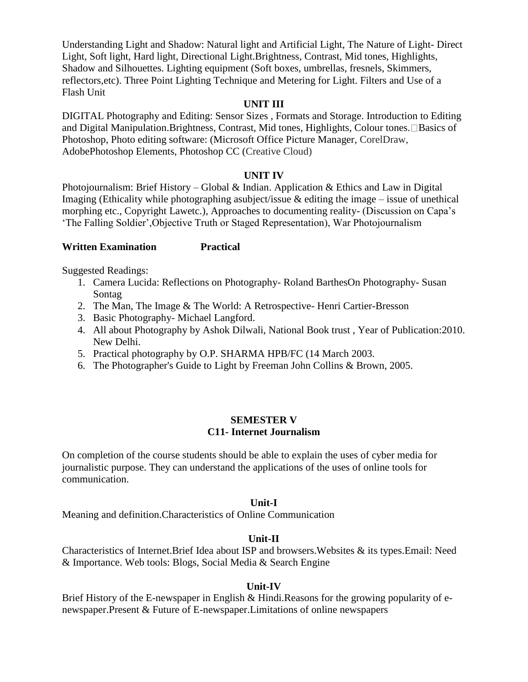Understanding Light and Shadow: Natural light and Artificial Light, The Nature of Light- Direct Light, Soft light, Hard light, Directional Light.Brightness, Contrast, Mid tones, Highlights, Shadow and Silhouettes. Lighting equipment (Soft boxes, umbrellas, fresnels, Skimmers, reflectors,etc). Three Point Lighting Technique and Metering for Light. Filters and Use of a Flash Unit

### **UNIT III**

DIGITAL Photography and Editing: Sensor Sizes , Formats and Storage. Introduction to Editing and Digital Manipulation.Brightness, Contrast, Mid tones, Highlights, Colour tones. Basics of Photoshop, Photo editing software: (Microsoft Office Picture Manager, CorelDraw, AdobePhotoshop Elements, Photoshop CC (Creative Cloud)

### **UNIT IV**

Photojournalism: Brief History – Global & Indian. Application & Ethics and Law in Digital Imaging (Ethicality while photographing asubject/issue  $\&$  editing the image – issue of unethical morphing etc., Copyright Lawetc.), Approaches to documenting reality- (Discussion on Capa's 'The Falling Soldier',Objective Truth or Staged Representation), War Photojournalism

### **Written Examination Practical**

Suggested Readings:

- 1. Camera Lucida: Reflections on Photography- Roland BarthesOn Photography- Susan Sontag
- 2. The Man, The Image & The World: A Retrospective- Henri Cartier-Bresson
- 3. Basic Photography- Michael Langford.
- 4. All about Photography by Ashok Dilwali, National Book trust , Year of Publication:2010. New Delhi.
- 5. Practical photography by O.P. SHARMA HPB/FC (14 March 2003.
- 6. The Photographer's Guide to Light by Freeman John Collins & Brown, 2005.

### **SEMESTER V C11- Internet Journalism**

On completion of the course students should be able to explain the uses of cyber media for journalistic purpose. They can understand the applications of the uses of online tools for communication.

### **Unit-I**

Meaning and definition.Characteristics of Online Communication

### **Unit-II**

Characteristics of Internet.Brief Idea about ISP and browsers.Websites & its types.Email: Need & Importance. Web tools: Blogs, Social Media & Search Engine

### **Unit-IV**

Brief History of the E-newspaper in English & Hindi.Reasons for the growing popularity of enewspaper.Present & Future of E-newspaper.Limitations of online newspapers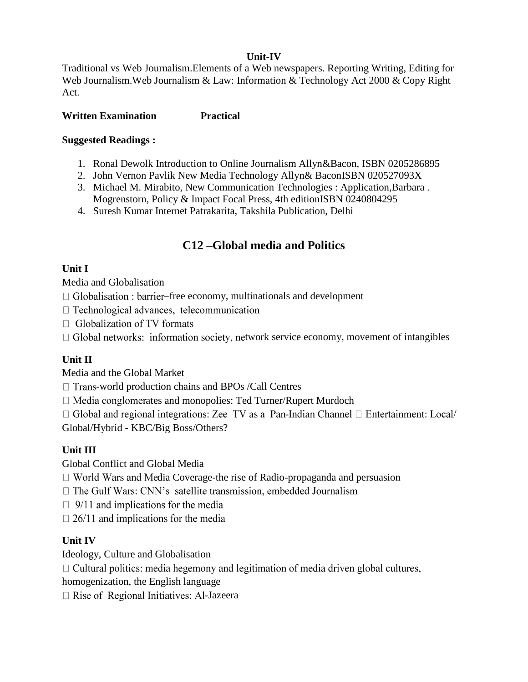# **Unit-IV**

Traditional vs Web Journalism.Elements of a Web newspapers. Reporting Writing, Editing for Web Journalism.Web Journalism & Law: Information & Technology Act 2000 & Copy Right Act.

# **Written Examination Practical**

# **Suggested Readings :**

- 1. Ronal Dewolk Introduction to Online Journalism Allyn&Bacon, ISBN 0205286895
- 2. John Vernon Pavlik New Media Technology Allyn& BaconISBN 020527093X
- 3. Michael M. Mirabito, New Communication Technologies : Application,Barbara . Mogrenstorn, Policy & Impact Focal Press, 4th editionISBN 0240804295
- 4. Suresh Kumar Internet Patrakarita, Takshila Publication, Delhi

# **C12 –Global media and Politics**

# **Unit I**

Media and Globalisation

- $\Box$  Globalisation : barrier–free economy, multinationals and development
- $\Box$  Technological advances, telecommunication
- $\Box$  Globalization of TV formats
- $\Box$  Global networks: information society, network service economy, movement of intangibles

# **Unit II**

Media and the Global Market

 $\Box$  Trans-world production chains and BPOs /Call Centres

 $\Box$  Media conglomerates and monopolies: Ted Turner/Rupert Murdoch

 $\Box$  Global and regional integrations: Zee TV as a Pan-Indian Channel  $\Box$  Entertainment: Local/ Global/Hybrid - KBC/Big Boss/Others?

# **Unit III**

Global Conflict and Global Media

- $\Box$  World Wars and Media Coverage-the rise of Radio-propaganda and persuasion
- $\Box$  The Gulf Wars: CNN's satellite transmission, embedded Journalism
- $\Box$  9/11 and implications for the media
- $\Box$  26/11 and implications for the media

# **Unit IV**

Ideology, Culture and Globalisation

 $\Box$  Cultural politics: media hegemony and legitimation of media driven global cultures,

homogenization, the English language

 $\Box$  Rise of Regional Initiatives: Al-Jazeera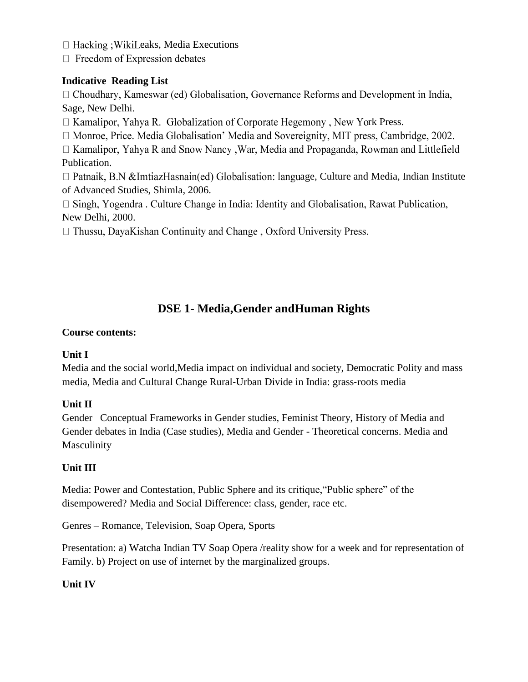$\Box$  Hacking ; WikiLeaks, Media Executions

 $\Box$  Freedom of Expression debates

# **Indicative Reading List**

 $\Box$  Choudhary, Kameswar (ed) Globalisation, Governance Reforms and Development in India, Sage, New Delhi.

 $\Box$  Kamalipor, Yahya R. Globalization of Corporate Hegemony, New York Press.

 $\Box$  Monroe, Price. Media Globalisation' Media and Sovereignity, MIT press, Cambridge, 2002.

□ Kamalipor, Yahya R and Snow Nancy, War, Media and Propaganda, Rowman and Littlefield Publication.

 $\Box$  Patnaik, B.N & ImtiazHasnain(ed) Globalisation: language, Culture and Media, Indian Institute of Advanced Studies, Shimla, 2006.

 $\Box$  Singh, Yogendra . Culture Change in India: Identity and Globalisation, Rawat Publication, New Delhi, 2000.

 $\Box$  Thussu, DayaKishan Continuity and Change, Oxford University Press.

# **DSE 1- Media,Gender andHuman Rights**

# **Course contents:**

# **Unit I**

Media and the social world,Media impact on individual and society, Democratic Polity and mass media, Media and Cultural Change Rural‐Urban Divide in India: grass‐roots media

# **Unit II**

Gender Conceptual Frameworks in Gender studies, Feminist Theory, History of Media and Gender debates in India (Case studies), Media and Gender - Theoretical concerns. Media and Masculinity

# **Unit III**

Media: Power and Contestation, Public Sphere and its critique,"Public sphere" of the disempowered? Media and Social Difference: class, gender, race etc.

Genres – Romance, Television, Soap Opera, Sports

Presentation: a) Watcha Indian TV Soap Opera /reality show for a week and for representation of Family. b) Project on use of internet by the marginalized groups.

# **Unit IV**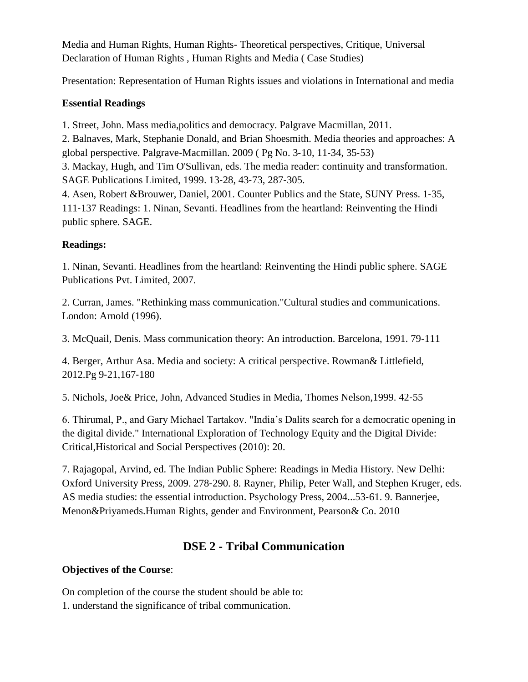Media and Human Rights, Human Rights- Theoretical perspectives, Critique, Universal Declaration of Human Rights , Human Rights and Media ( Case Studies)

Presentation: Representation of Human Rights issues and violations in International and media

# **Essential Readings**

1. Street, John. Mass media,politics and democracy. Palgrave Macmillan, 2011.

2. Balnaves, Mark, Stephanie Donald, and Brian Shoesmith. Media theories and approaches: A global perspective. Palgrave‐Macmillan. 2009 ( Pg No. 3‐10, 11‐34, 35‐53)

3. Mackay, Hugh, and Tim O'Sullivan, eds. The media reader: continuity and transformation. SAGE Publications Limited, 1999. 13‐28, 43‐73, 287‐305.

4. Asen, Robert &Brouwer, Daniel, 2001. Counter Publics and the State, SUNY Press. 1‐35, 111‐137 Readings: 1. Ninan, Sevanti. Headlines from the heartland: Reinventing the Hindi public sphere. SAGE.

# **Readings:**

1. Ninan, Sevanti. Headlines from the heartland: Reinventing the Hindi public sphere. SAGE Publications Pvt. Limited, 2007.

2. Curran, James. "Rethinking mass communication."Cultural studies and communications. London: Arnold (1996).

3. McQuail, Denis. Mass communication theory: An introduction. Barcelona, 1991. 79‐111

4. Berger, Arthur Asa. Media and society: A critical perspective. Rowman& Littlefield, 2012.Pg 9‐21,167‐180

5. Nichols, Joe& Price, John, Advanced Studies in Media, Thomes Nelson,1999. 42‐55

6. Thirumal, P., and Gary Michael Tartakov. "India's Dalits search for a democratic opening in the digital divide." International Exploration of Technology Equity and the Digital Divide: Critical,Historical and Social Perspectives (2010): 20.

7. Rajagopal, Arvind, ed. The Indian Public Sphere: Readings in Media History. New Delhi: Oxford University Press, 2009. 278‐290. 8. Rayner, Philip, Peter Wall, and Stephen Kruger, eds. AS media studies: the essential introduction. Psychology Press, 2004...53‐61. 9. Bannerjee, Menon&Priyameds.Human Rights, gender and Environment, Pearson& Co. 2010

# **DSE 2 - Tribal Communication**

# **Objectives of the Course**:

On completion of the course the student should be able to: 1. understand the significance of tribal communication.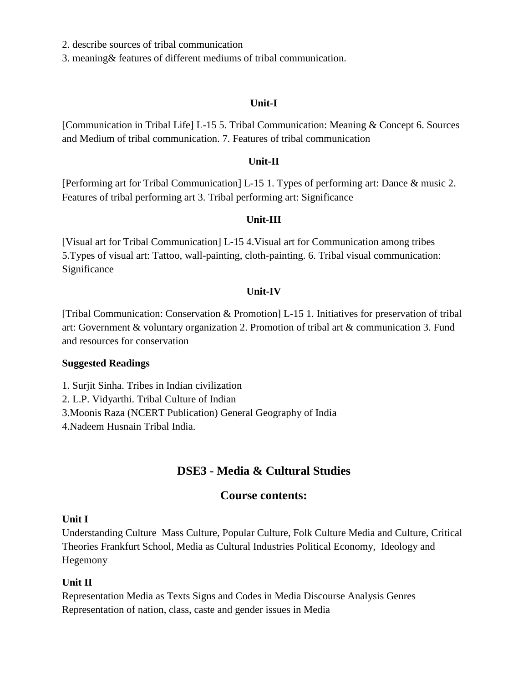2. describe sources of tribal communication

3. meaning& features of different mediums of tribal communication.

#### **Unit-I**

[Communication in Tribal Life] L-15 5. Tribal Communication: Meaning & Concept 6. Sources and Medium of tribal communication. 7. Features of tribal communication

#### **Unit-II**

[Performing art for Tribal Communication] L-15 1. Types of performing art: Dance & music 2. Features of tribal performing art 3. Tribal performing art: Significance

#### **Unit-III**

[Visual art for Tribal Communication] L-15 4.Visual art for Communication among tribes 5.Types of visual art: Tattoo, wall-painting, cloth-painting. 6. Tribal visual communication: Significance

#### **Unit-IV**

[Tribal Communication: Conservation & Promotion] L-15 1. Initiatives for preservation of tribal art: Government & voluntary organization 2. Promotion of tribal art & communication 3. Fund and resources for conservation

#### **Suggested Readings**

1. Surjit Sinha. Tribes in Indian civilization

2. L.P. Vidyarthi. Tribal Culture of Indian

3.Moonis Raza (NCERT Publication) General Geography of India

4.Nadeem Husnain Tribal India.

# **DSE3 - Media & Cultural Studies**

# **Course contents:**

#### **Unit I**

Understanding Culture Mass Culture, Popular Culture, Folk Culture Media and Culture, Critical Theories Frankfurt School, Media as Cultural Industries Political Economy, Ideology and Hegemony

#### **Unit II**

Representation Media as Texts Signs and Codes in Media Discourse Analysis Genres Representation of nation, class, caste and gender issues in Media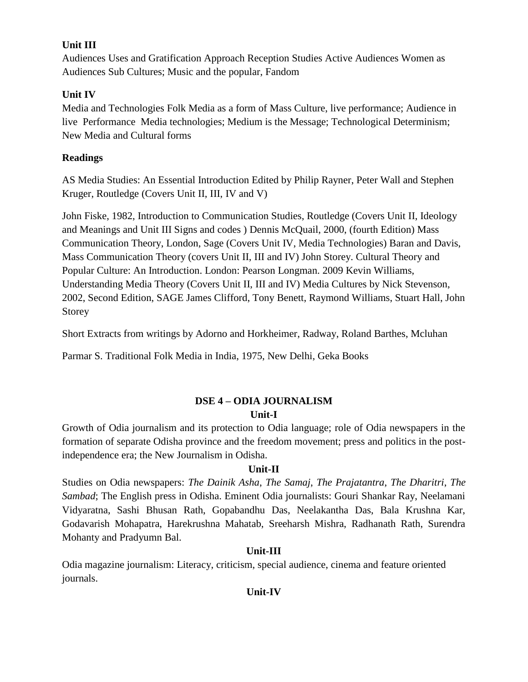# **Unit III**

Audiences Uses and Gratification Approach Reception Studies Active Audiences Women as Audiences Sub Cultures; Music and the popular, Fandom

# **Unit IV**

Media and Technologies Folk Media as a form of Mass Culture, live performance; Audience in live Performance Media technologies; Medium is the Message; Technological Determinism; New Media and Cultural forms

# **Readings**

AS Media Studies: An Essential Introduction Edited by Philip Rayner, Peter Wall and Stephen Kruger, Routledge (Covers Unit II, III, IV and V)

John Fiske, 1982, Introduction to Communication Studies, Routledge (Covers Unit II, Ideology and Meanings and Unit III Signs and codes ) Dennis McQuail, 2000, (fourth Edition) Mass Communication Theory, London, Sage (Covers Unit IV, Media Technologies) Baran and Davis, Mass Communication Theory (covers Unit II, III and IV) John Storey. Cultural Theory and Popular Culture: An Introduction. London: Pearson Longman. 2009 Kevin Williams, Understanding Media Theory (Covers Unit II, III and IV) Media Cultures by Nick Stevenson, 2002, Second Edition, SAGE James Clifford, Tony Benett, Raymond Williams, Stuart Hall, John Storey

Short Extracts from writings by Adorno and Horkheimer, Radway, Roland Barthes, Mcluhan

Parmar S. Traditional Folk Media in India, 1975, New Delhi, Geka Books

# **DSE 4 – ODIA JOURNALISM Unit-I**

Growth of Odia journalism and its protection to Odia language; role of Odia newspapers in the formation of separate Odisha province and the freedom movement; press and politics in the postindependence era; the New Journalism in Odisha.

# **Unit-II**

Studies on Odia newspapers: *The Dainik Asha*, *The Samaj*, *The Prajatantra*, *The Dharitri*, *The Sambad*; The English press in Odisha. Eminent Odia journalists: Gouri Shankar Ray, Neelamani Vidyaratna, Sashi Bhusan Rath, Gopabandhu Das, Neelakantha Das, Bala Krushna Kar, Godavarish Mohapatra, Harekrushna Mahatab, Sreeharsh Mishra, Radhanath Rath, Surendra Mohanty and Pradyumn Bal.

# **Unit-III**

Odia magazine journalism: Literacy, criticism, special audience, cinema and feature oriented journals.

# **Unit-IV**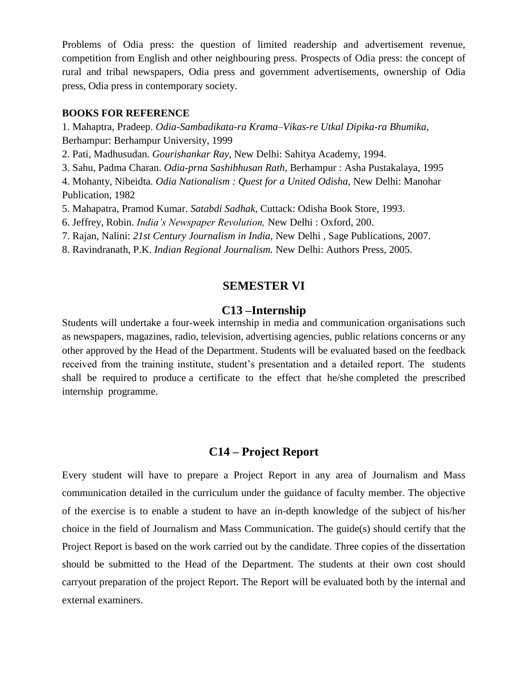Problems of Odia press: the question of limited readership and advertisement revenue, competition from English and other neighbouring press. Prospects of Odia press: the concept of rural and tribal newspapers, Odia press and government advertisements, ownership of Odia press, Odia press in contemporary society.

#### **BOOKS FOR REFERENCE**

1. Mahaptra, Pradeep. *Odia-Sambadikata-ra Krama–Vikas-re Utkal Dipika-ra Bhumika,*  Berhampur: Berhampur University, 1999

2. Pati, Madhusudan. *Gourishankar Ray,* New Delhi: Sahitya Academy, 1994.

3. Sahu, Padma Charan. *Odia-prna Sashibhusan Rath,* Berhampur : Asha Pustakalaya, 1995

4. Mohanty, Nibeidta. *Odia Nationalism : Quest for a United Odisha,* New Delhi: Manohar Publication, 1982

5. Mahapatra, Pramod Kumar. *Satabdi Sadhak,* Cuttack: Odisha Book Store, 1993.

6. Jeffrey, Robin. *India's Newspaper Revolution,* New Delhi : Oxford, 200.

7. Rajan, Nalini: *21st Century Journalism in India,* New Delhi , Sage Publications, 2007.

8. Ravindranath, P.K. *Indian Regional Journalism.* New Delhi: Authors Press, 2005.

# **SEMESTER VI**

### **C13 –Internship**

Students will undertake a four-week internship in media and communication organisations such as newspapers, magazines, radio, television, advertising agencies, public relations concerns or any other approved by the Head of the Department. Students will be evaluated based on the feedback received from the training institute, student's presentation and a detailed report. The students shall be required to produce a certificate to the effect that he/she completed the prescribed internship programme.

### **C14 – Project Report**

Every student will have to prepare a Project Report in any area of Journalism and Mass communication detailed in the curriculum under the guidance of faculty member. The objective of the exercise is to enable a student to have an in-depth knowledge of the subject of his/her choice in the field of Journalism and Mass Communication. The guide(s) should certify that the Project Report is based on the work carried out by the candidate. Three copies of the dissertation should be submitted to the Head of the Department. The students at their own cost should carryout preparation of the project Report. The Report will be evaluated both by the internal and external examiners.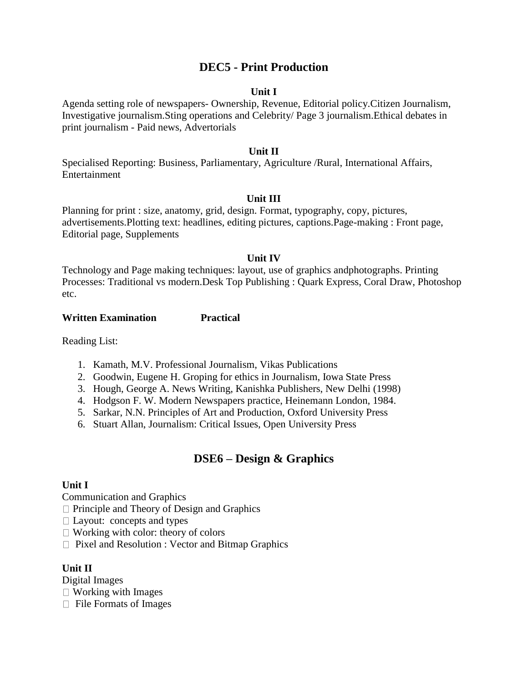# **DEC5 - Print Production**

#### **Unit I**

Agenda setting role of newspapers- Ownership, Revenue, Editorial policy.Citizen Journalism, Investigative journalism.Sting operations and Celebrity/ Page 3 journalism.Ethical debates in print journalism - Paid news, Advertorials

### **Unit II**

Specialised Reporting: Business, Parliamentary, Agriculture /Rural, International Affairs, Entertainment

#### **Unit III**

Planning for print : size, anatomy, grid, design. Format, typography, copy, pictures, advertisements.Plotting text: headlines, editing pictures, captions.Page-making : Front page, Editorial page, Supplements

### **Unit IV**

Technology and Page making techniques: layout, use of graphics andphotographs. Printing Processes: Traditional vs modern.Desk Top Publishing : Quark Express, Coral Draw, Photoshop etc.

### **Written Examination Practical**

Reading List:

- 1. Kamath, M.V. Professional Journalism, Vikas Publications
- 2. Goodwin, Eugene H. Groping for ethics in Journalism, Iowa State Press
- 3. Hough, George A. News Writing, Kanishka Publishers, New Delhi (1998)
- 4. Hodgson F. W. Modern Newspapers practice, Heinemann London, 1984.
- 5. Sarkar, N.N. Principles of Art and Production, Oxford University Press
- 6. Stuart Allan, Journalism: Critical Issues, Open University Press

# **DSE6 – Design & Graphics**

# **Unit I**

Communication and Graphics

- $\Box$  Principle and Theory of Design and Graphics
- $\Box$  Layout: concepts and types
- $\Box$  Working with color: theory of colors
- $\Box$  Pixel and Resolution : Vector and Bitmap Graphics

# **Unit II**

Digital Images

- $\Box$  Working with Images
- $\Box$  File Formats of Images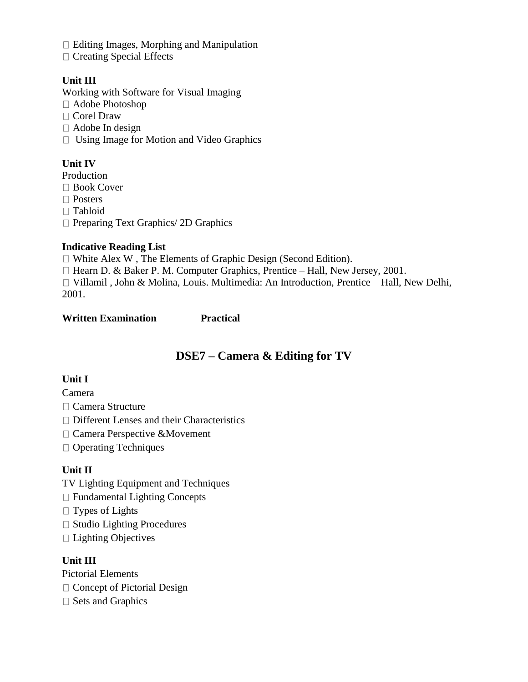$\Box$  Editing Images, Morphing and Manipulation

 $\Box$  Creating Special Effects

# **Unit III**

Working with Software for Visual Imaging

- Adobe Photoshop
- □ Corel Draw
- Adobe In design
- Using Image for Motion and Video Graphics

# **Unit IV**

Production

Book Cover

- □ Posters
- □ Tabloid
- $\Box$  Preparing Text Graphics/ 2D Graphics

# **Indicative Reading List**

White Alex W , The Elements of Graphic Design (Second Edition).

 $\Box$  Hearn D. & Baker P. M. Computer Graphics, Prentice – Hall, New Jersey, 2001.

Villamil , John & Molina, Louis. Multimedia: An Introduction, Prentice – Hall, New Delhi, 2001.

### **Written Examination Practical**

# **DSE7 – Camera & Editing for TV**

### **Unit I**

Camera

- Camera Structure
- □ Different Lenses and their Characteristics
- □ Camera Perspective &Movement
- $\Box$  Operating Techniques

# **Unit II**

TV Lighting Equipment and Techniques

- Fundamental Lighting Concepts
- $\Box$  Types of Lights
- $\Box$  Studio Lighting Procedures
- $\Box$  Lighting Objectives

### **Unit III**

Pictorial Elements

- $\Box$  Concept of Pictorial Design
- $\square$  Sets and Graphics